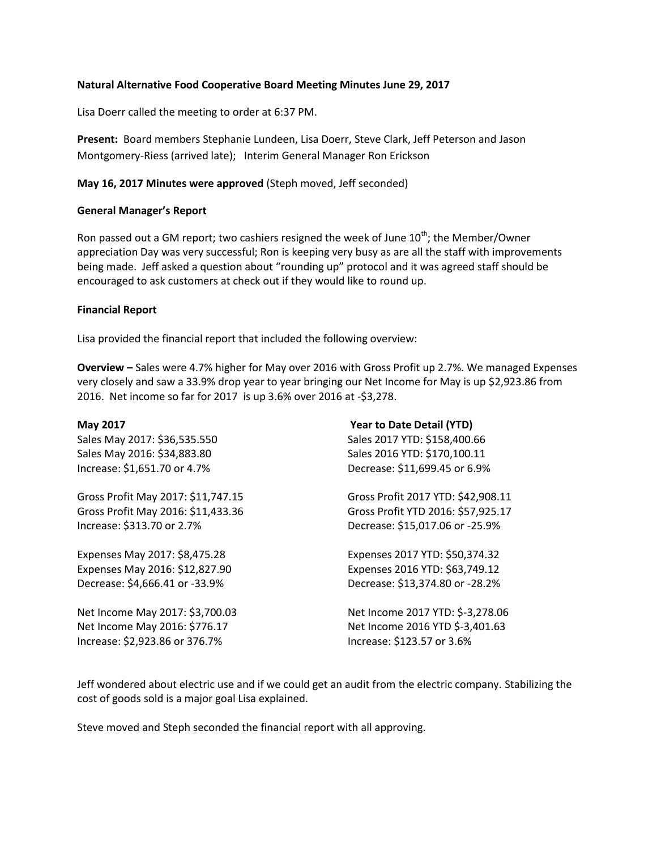# **Natural Alternative Food Cooperative Board Meeting Minutes June 29, 2017**

Lisa Doerr called the meeting to order at 6:37 PM.

**Present:** Board members Stephanie Lundeen, Lisa Doerr, Steve Clark, Jeff Peterson and Jason Montgomery-Riess (arrived late); Interim General Manager Ron Erickson

# **May 16, 2017 Minutes were approved** (Steph moved, Jeff seconded)

#### **General Manager's Report**

Ron passed out a GM report; two cashiers resigned the week of June  $10<sup>th</sup>$ ; the Member/Owner appreciation Day was very successful; Ron is keeping very busy as are all the staff with improvements being made. Jeff asked a question about "rounding up" protocol and it was agreed staff should be encouraged to ask customers at check out if they would like to round up.

#### **Financial Report**

Lisa provided the financial report that included the following overview:

**Overview –** Sales were 4.7% higher for May over 2016 with Gross Profit up 2.7%. We managed Expenses very closely and saw a 33.9% drop year to year bringing our Net Income for May is up \$2,923.86 from 2016. Net income so far for 2017 is up 3.6% over 2016 at -\$3,278.

| May 2017                           | <b>Year to Date Detail (YTD)</b>   |
|------------------------------------|------------------------------------|
| Sales May 2017: \$36,535.550       | Sales 2017 YTD: \$158,400.66       |
| Sales May 2016: \$34,883.80        | Sales 2016 YTD: \$170,100.11       |
| Increase: \$1,651.70 or 4.7%       | Decrease: \$11,699.45 or 6.9%      |
| Gross Profit May 2017: \$11,747.15 | Gross Profit 2017 YTD: \$42,908.11 |
| Gross Profit May 2016: \$11,433.36 | Gross Profit YTD 2016: \$57,925.17 |
| Increase: \$313.70 or 2.7%         | Decrease: \$15,017.06 or -25.9%    |
| Expenses May 2017: \$8,475.28      | Expenses 2017 YTD: \$50,374.32     |
| Expenses May 2016: \$12,827.90     | Expenses 2016 YTD: \$63,749.12     |
| Decrease: \$4,666.41 or -33.9%     | Decrease: \$13,374.80 or -28.2%    |
| Net Income May 2017: \$3,700.03    | Net Income 2017 YTD: \$-3,278.06   |
| Net Income May 2016: \$776.17      | Net Income 2016 YTD \$-3,401.63    |
| Increase: \$2,923.86 or 376.7%     | Increase: \$123.57 or 3.6%         |

Jeff wondered about electric use and if we could get an audit from the electric company. Stabilizing the cost of goods sold is a major goal Lisa explained.

Steve moved and Steph seconded the financial report with all approving.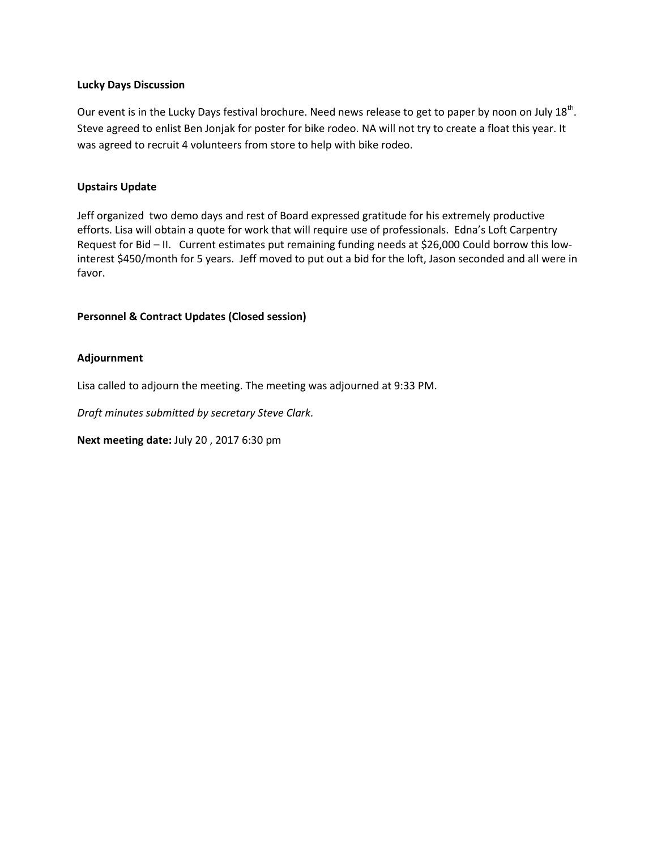# **Lucky Days Discussion**

Our event is in the Lucky Days festival brochure. Need news release to get to paper by noon on July 18<sup>th</sup>. Steve agreed to enlist Ben Jonjak for poster for bike rodeo. NA will not try to create a float this year. It was agreed to recruit 4 volunteers from store to help with bike rodeo.

# **Upstairs Update**

Jeff organized two demo days and rest of Board expressed gratitude for his extremely productive efforts. Lisa will obtain a quote for work that will require use of professionals. Edna's Loft Carpentry Request for Bid – II. Current estimates put remaining funding needs at \$26,000 Could borrow this lowinterest \$450/month for 5 years. Jeff moved to put out a bid for the loft, Jason seconded and all were in favor.

# **Personnel & Contract Updates (Closed session)**

# **Adjournment**

Lisa called to adjourn the meeting. The meeting was adjourned at 9:33 PM.

*Draft minutes submitted by secretary Steve Clark.*

**Next meeting date:** July 20 , 2017 6:30 pm